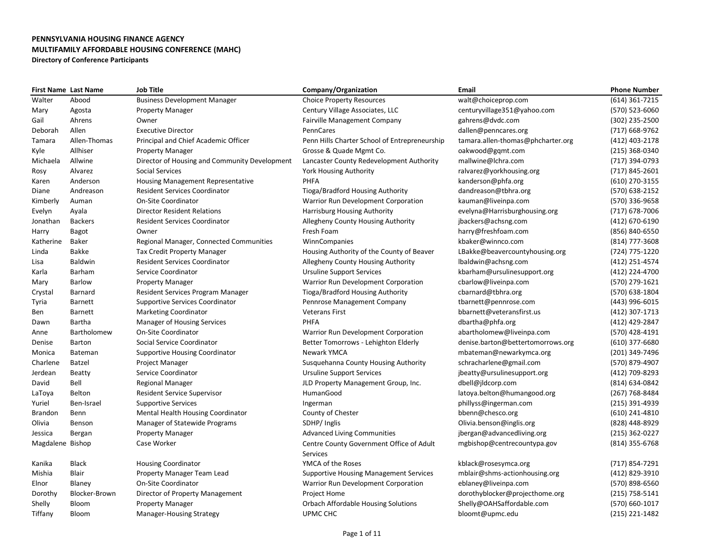|                  | <b>First Name Last Name</b> | <b>Job Title</b>                              | Company/Organization                          | Email                             | <b>Phone Number</b> |
|------------------|-----------------------------|-----------------------------------------------|-----------------------------------------------|-----------------------------------|---------------------|
| Walter           | Abood                       | <b>Business Development Manager</b>           | <b>Choice Property Resources</b>              | walt@choiceprop.com               | (614) 361-7215      |
| Mary             | Agosta                      | <b>Property Manager</b>                       | Century Village Associates, LLC               | centuryvillage351@yahoo.com       | (570) 523-6060      |
| Gail             | Ahrens                      | Owner                                         | <b>Fairville Management Company</b>           | gahrens@dvdc.com                  | (302) 235-2500      |
| Deborah          | Allen                       | <b>Executive Director</b>                     | PennCares                                     | dallen@penncares.org              | (717) 668-9762      |
| Tamara           | Allen-Thomas                | Principal and Chief Academic Officer          | Penn Hills Charter School of Entrepreneurship | tamara.allen-thomas@phcharter.org | (412) 403-2178      |
| Kyle             | Allhiser                    | <b>Property Manager</b>                       | Grosse & Quade Mgmt Co.                       | oakwood@gqmt.com                  | (215) 368-0340      |
| Michaela         | Allwine                     | Director of Housing and Community Development | Lancaster County Redevelopment Authority      | mallwine@lchra.com                | (717) 394-0793      |
| Rosy             | Alvarez                     | Social Services                               | <b>York Housing Authority</b>                 | ralvarez@yorkhousing.org          | (717) 845-2601      |
| Karen            | Anderson                    | Housing Management Representative             | PHFA                                          | kanderson@phfa.org                | (610) 270-3155      |
| Diane            | Andreason                   | <b>Resident Services Coordinator</b>          | Tioga/Bradford Housing Authority              | dandreason@tbhra.org              | (570) 638-2152      |
| Kimberly         | Auman                       | <b>On-Site Coordinator</b>                    | Warrior Run Development Corporation           | kauman@liveinpa.com               | (570) 336-9658      |
| Evelyn           | Ayala                       | <b>Director Resident Relations</b>            | Harrisburg Housing Authority                  | evelyna@Harrisburghousing.org     | (717) 678-7006      |
| Jonathan         | <b>Backers</b>              | <b>Resident Services Coordinator</b>          | Allegheny County Housing Authority            | jbackers@achsng.com               | (412) 670-6190      |
| Harry            | Bagot                       | Owner                                         | Fresh Foam                                    | harry@freshfoam.com               | (856) 840-6550      |
| Katherine        | Baker                       | Regional Manager, Connected Communities       | WinnCompanies                                 | kbaker@winnco.com                 | (814) 777-3608      |
| Linda            | Bakke                       | <b>Tax Credit Property Manager</b>            | Housing Authority of the County of Beaver     | LBakke@beavercountyhousing.org    | (724) 775-1220      |
| Lisa             | Baldwin                     | <b>Resident Services Coordinator</b>          | Allegheny County Housing Authority            | lbaldwin@achsng.com               | (412) 251-4574      |
| Karla            | Barham                      | Service Coordinator                           | <b>Ursuline Support Services</b>              | kbarham@ursulinesupport.org       | (412) 224-4700      |
| Mary             | <b>Barlow</b>               | Property Manager                              | Warrior Run Development Corporation           | cbarlow@liveinpa.com              | (570) 279-1621      |
| Crystal          | Barnard                     | Resident Services Program Manager             | Tioga/Bradford Housing Authority              | cbarnard@tbhra.org                | (570) 638-1804      |
| Tyria            | Barnett                     | <b>Supportive Services Coordinator</b>        | Pennrose Management Company                   | tbarnett@pennrose.com             | (443) 996-6015      |
| Ben              | <b>Barnett</b>              | <b>Marketing Coordinator</b>                  | <b>Veterans First</b>                         | bbarnett@veteransfirst.us         | (412) 307-1713      |
| Dawn             | Bartha                      | <b>Manager of Housing Services</b>            | PHFA                                          | dbartha@phfa.org                  | (412) 429-2847      |
| Anne             | Bartholomew                 | On-Site Coordinator                           | Warrior Run Development Corporation           | abartholomew@liveinpa.com         | (570) 428-4191      |
| Denise           | Barton                      | Social Service Coordinator                    | Better Tomorrows - Lehighton Elderly          | denise.barton@bettertomorrows.org | $(610)$ 377-6680    |
| Monica           | Bateman                     | <b>Supportive Housing Coordinator</b>         | Newark YMCA                                   | mbateman@newarkymca.org           | (201) 349-7496      |
| Charlene         | Batzel                      | Project Manager                               | Susquehanna County Housing Authority          | schracharlene@gmail.com           | (570) 879-4907      |
| Jerdean          | Beatty                      | Service Coordinator                           | <b>Ursuline Support Services</b>              | jbeatty@ursulinesupport.org       | (412) 709-8293      |
| David            | Bell                        | Regional Manager                              | JLD Property Management Group, Inc.           | dbell@jldcorp.com                 | (814) 634-0842      |
| LaToya           | Belton                      | Resident Service Supervisor                   | HumanGood                                     | latoya.belton@humangood.org       | (267) 768-8484      |
| Yuriel           | Ben-Israel                  | <b>Supportive Services</b>                    | Ingerman                                      | phillyss@ingerman.com             | (215) 391-4939      |
| <b>Brandon</b>   | Benn                        | Mental Health Housing Coordinator             | County of Chester                             | bbenn@chesco.org                  | (610) 241-4810      |
| Olivia           | Benson                      | Manager of Statewide Programs                 | SDHP/Inglis                                   | Olivia.benson@inglis.org          | (828) 448-8929      |
| Jessica          | Bergan                      | <b>Property Manager</b>                       | <b>Advanced Living Communities</b>            | jbergan@advancedliving.org        | (215) 362-0227      |
| Magdalene Bishop |                             | Case Worker                                   | Centre County Government Office of Adult      | mgbishop@centrecountypa.gov       | (814) 355-6768      |
|                  |                             |                                               | Services                                      |                                   |                     |
| Kanika           | Black                       | <b>Housing Coordinator</b>                    | YMCA of the Roses                             | kblack@rosesymca.org              | (717) 854-7291      |
| Mishia           | <b>Blair</b>                | Property Manager Team Lead                    | <b>Supportive Housing Management Services</b> | mblair@shms-actionhousing.org     | (412) 829-3910      |
| Elnor            | Blaney                      | <b>On-Site Coordinator</b>                    | Warrior Run Development Corporation           | eblaney@liveinpa.com              | (570) 898-6560      |
| Dorothy          | Blocker-Brown               | Director of Property Management               | <b>Project Home</b>                           | dorothyblocker@projecthome.org    | $(215)$ 758-5141    |
| Shelly           | Bloom                       | <b>Property Manager</b>                       | Orbach Affordable Housing Solutions           | Shelly@OAHSaffordable.com         | (570) 660-1017      |
| Tiffany          | Bloom                       | <b>Manager-Housing Strategy</b>               | UPMC CHC                                      | bloomt@upmc.edu                   | (215) 221-1482      |
|                  |                             |                                               |                                               |                                   |                     |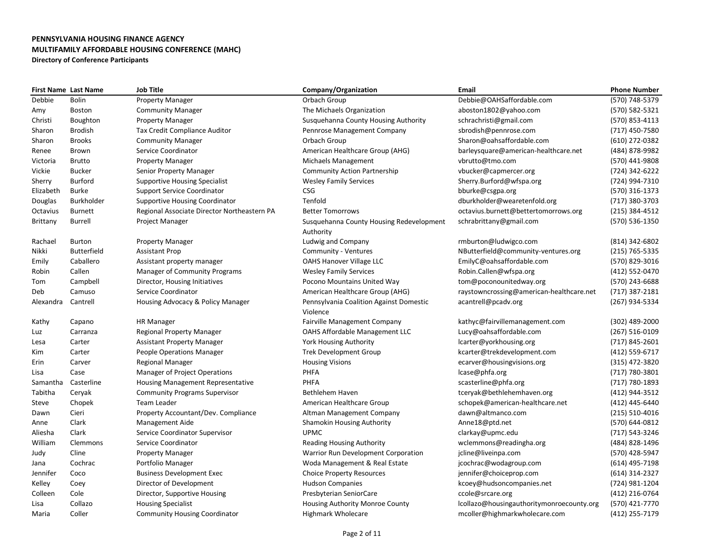| <b>First Name Last Name</b> |                | <b>Job Title</b>                            | Company/Organization                     | Email                                     | <b>Phone Number</b> |
|-----------------------------|----------------|---------------------------------------------|------------------------------------------|-------------------------------------------|---------------------|
| Debbie                      | <b>Bolin</b>   | <b>Property Manager</b>                     | Orbach Group                             | Debbie@OAHSaffordable.com                 | (570) 748-5379      |
| Amy                         | Boston         | <b>Community Manager</b>                    | The Michaels Organization                | aboston1802@yahoo.com                     | (570) 582-5321      |
| Christi                     | Boughton       | <b>Property Manager</b>                     | Susquehanna County Housing Authority     | schrachristi@gmail.com                    | (570) 853-4113      |
| Sharon                      | <b>Brodish</b> | <b>Tax Credit Compliance Auditor</b>        | Pennrose Management Company              | sbrodish@pennrose.com                     | (717) 450-7580      |
| Sharon                      | <b>Brooks</b>  | <b>Community Manager</b>                    | Orbach Group                             | Sharon@oahsaffordable.com                 | (610) 272-0382      |
| Renee                       | Brown          | Service Coordinator                         | American Healthcare Group (AHG)          | barleysquare@american-healthcare.net      | (484) 878-9982      |
| Victoria                    | <b>Brutto</b>  | <b>Property Manager</b>                     | Michaels Management                      | vbrutto@tmo.com                           | (570) 441-9808      |
| Vickie                      | <b>Bucker</b>  | Senior Property Manager                     | <b>Community Action Partnership</b>      | vbucker@capmercer.org                     | (724) 342-6222      |
| Sherry                      | Burford        | <b>Supportive Housing Specialist</b>        | <b>Wesley Family Services</b>            | Sherry.Burford@wfspa.org                  | (724) 994-7310      |
| Elizabeth                   | <b>Burke</b>   | <b>Support Service Coordinator</b>          | <b>CSG</b>                               | bburke@csgpa.org                          | (570) 316-1373      |
| Douglas                     | Burkholder     | <b>Supportive Housing Coordinator</b>       | Tenfold                                  | dburkholder@wearetenfold.org              | (717) 380-3703      |
| Octavius                    | <b>Burnett</b> | Regional Associate Director Northeastern PA | <b>Better Tomorrows</b>                  | octavius.burnett@bettertomorrows.org      | $(215)$ 384-4512    |
| Brittany                    | Burrell        | Project Manager                             | Susquehanna County Housing Redevelopment | schrabrittany@gmail.com                   | (570) 536-1350      |
|                             |                |                                             | Authority                                |                                           |                     |
| Rachael                     | <b>Burton</b>  | <b>Property Manager</b>                     | Ludwig and Company                       | rmburton@ludwigco.com                     | (814) 342-6802      |
| Nikki                       | Butterfield    | <b>Assistant Prop</b>                       | Community - Ventures                     | NButterfield@community-ventures.org       | (215) 765-5335      |
| Emily                       | Caballero      | Assistant property manager                  | <b>OAHS Hanover Village LLC</b>          | EmilyC@oahsaffordable.com                 | (570) 829-3016      |
| Robin                       | Callen         | Manager of Community Programs               | <b>Wesley Family Services</b>            | Robin.Callen@wfspa.org                    | (412) 552-0470      |
| Tom                         | Campbell       | Director, Housing Initiatives               | Pocono Mountains United Way              | tom@poconounitedway.org                   | (570) 243-6688      |
| Deb                         | Camuso         | Service Coordinator                         | American Healthcare Group (AHG)          | raystowncrossing@american-healthcare.net  | $(717)$ 387-2181    |
| Alexandra                   | Cantrell       | Housing Advocacy & Policy Manager           | Pennsylvania Coalition Against Domestic  | acantrell@pcadv.org                       | (267) 934-5334      |
|                             |                |                                             | Violence                                 |                                           |                     |
| Kathy                       | Capano         | <b>HR Manager</b>                           | <b>Fairville Management Company</b>      | kathyc@fairvillemanagement.com            | (302) 489-2000      |
| Luz                         | Carranza       | <b>Regional Property Manager</b>            | OAHS Affordable Management LLC           | Lucy@oahsaffordable.com                   | $(267) 516 - 0109$  |
| Lesa                        | Carter         | <b>Assistant Property Manager</b>           | York Housing Authority                   | lcarter@yorkhousing.org                   | (717) 845-2601      |
| Kim                         | Carter         | People Operations Manager                   | <b>Trek Development Group</b>            | kcarter@trekdevelopment.com               | (412) 559-6717      |
| Erin                        | Carver         | <b>Regional Manager</b>                     | <b>Housing Visions</b>                   | ecarver@housingvisions.org                | (315) 472-3820      |
| Lisa                        | Case           | <b>Manager of Project Operations</b>        | PHFA                                     | lcase@phfa.org                            | (717) 780-3801      |
| Samantha                    | Casterline     | <b>Housing Management Representative</b>    | PHFA                                     | scasterline@phfa.org                      | (717) 780-1893      |
| Tabitha                     | Ceryak         | <b>Community Programs Supervisor</b>        | <b>Bethlehem Haven</b>                   | tceryak@bethlehemhaven.org                | (412) 944-3512      |
| Steve                       | Chopek         | <b>Team Leader</b>                          | American Healthcare Group                | schopek@american-healthcare.net           | (412) 445-6440      |
| Dawn                        | Cieri          | Property Accountant/Dev. Compliance         | Altman Management Company                | dawn@altmanco.com                         | (215) 510-4016      |
| Anne                        | Clark          | Management Aide                             | <b>Shamokin Housing Authority</b>        | Anne18@ptd.net                            | (570) 644-0812      |
| Aliesha                     | Clark          | Service Coordinator Supervisor              | <b>UPMC</b>                              | clarkay@upmc.edu                          | (717) 543-3246      |
| William                     | Clemmons       | Service Coordinator                         | <b>Reading Housing Authority</b>         | wclemmons@readingha.org                   | (484) 828-1496      |
| Judy                        | Cline          | <b>Property Manager</b>                     | Warrior Run Development Corporation      | jcline@liveinpa.com                       | (570) 428-5947      |
| Jana                        | Cochrac        | Portfolio Manager                           | Woda Management & Real Estate            | jcochrac@wodagroup.com                    | (614) 495-7198      |
| Jennifer                    | Coco           | <b>Business Development Exec</b>            | <b>Choice Property Resources</b>         | jennifer@choiceprop.com                   | (614) 314-2327      |
| Kelley                      | Coey           | Director of Development                     | <b>Hudson Companies</b>                  | kcoey@hudsoncompanies.net                 | (724) 981-1204      |
| Colleen                     | Cole           | Director, Supportive Housing                | Presbyterian SeniorCare                  | ccole@srcare.org                          | (412) 216-0764      |
| Lisa                        | Collazo        | <b>Housing Specialist</b>                   | Housing Authority Monroe County          | lcollazo@housingauthoritymonroecounty.org | (570) 421-7770      |
| Maria                       | Coller         | <b>Community Housing Coordinator</b>        | <b>Highmark Wholecare</b>                | mcoller@highmarkwholecare.com             | (412) 255-7179      |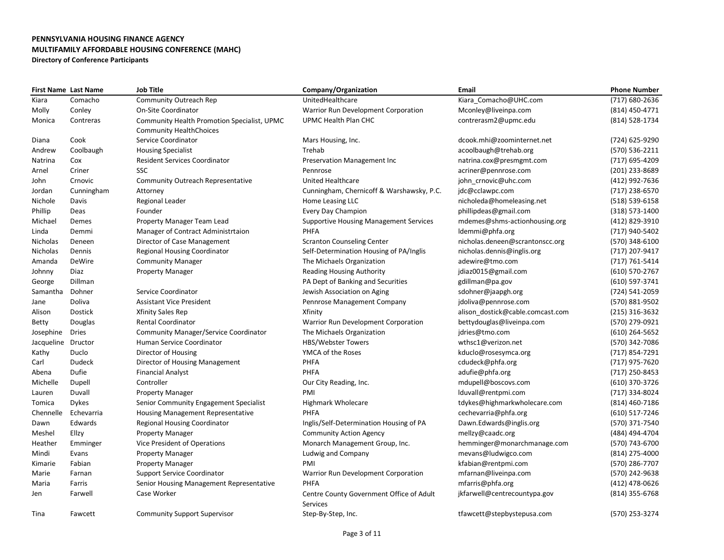|                 | <b>First Name Last Name</b> | <b>Job Title</b>                            | Company/Organization                          | <b>Email</b>                     | <b>Phone Number</b> |
|-----------------|-----------------------------|---------------------------------------------|-----------------------------------------------|----------------------------------|---------------------|
| Kiara           | Comacho                     | Community Outreach Rep                      | UnitedHealthcare                              | Kiara Comacho@UHC.com            | (717) 680-2636      |
| Molly           | Conley                      | <b>On-Site Coordinator</b>                  | Warrior Run Development Corporation           | Mconley@liveinpa.com             | (814) 450-4771      |
| Monica          | Contreras                   | Community Health Promotion Specialist, UPMC | UPMC Health Plan CHC                          | contrerasm2@upmc.edu             | (814) 528-1734      |
|                 |                             | <b>Community HealthChoices</b>              |                                               |                                  |                     |
| Diana           | Cook                        | Service Coordinator                         | Mars Housing, Inc.                            | dcook.mhi@zoominternet.net       | (724) 625-9290      |
| Andrew          | Coolbaugh                   | <b>Housing Specialist</b>                   | Trehab                                        | acoolbaugh@trehab.org            | (570) 536-2211      |
| Natrina         | Cox                         | <b>Resident Services Coordinator</b>        | Preservation Management Inc                   | natrina.cox@presmgmt.com         | (717) 695-4209      |
| Arnel           | Criner                      | SSC                                         | Pennrose                                      | acriner@pennrose.com             | (201) 233-8689      |
| John            | Crnovic                     | Community Outreach Representative           | <b>United Healthcare</b>                      | john crnovic@uhc.com             | (412) 992-7636      |
| Jordan          | Cunningham                  | Attorney                                    | Cunningham, Chernicoff & Warshawsky, P.C.     | jdc@cclawpc.com                  | (717) 238-6570      |
| Nichole         | Davis                       | Regional Leader                             | Home Leasing LLC                              | nicholeda@homeleasing.net        | (518) 539-6158      |
| Phillip         | Deas                        | Founder                                     | Every Day Champion                            | phillipdeas@gmail.com            | (318) 573-1400      |
| Michael         | Demes                       | Property Manager Team Lead                  | <b>Supportive Housing Management Services</b> | mdemes@shms-actionhousing.org    | (412) 829-3910      |
| Linda           | Demmi                       | Manager of Contract Administrtaion          | PHFA                                          | ldemmi@phfa.org                  | (717) 940-5402      |
| Nicholas        | Deneen                      | Director of Case Management                 | <b>Scranton Counseling Center</b>             | nicholas.deneen@scrantonscc.org  | (570) 348-6100      |
| <b>Nicholas</b> | Dennis                      | Regional Housing Coordinator                | Self-Determination Housing of PA/Inglis       | nicholas.dennis@inglis.org       | (717) 207-9417      |
| Amanda          | <b>DeWire</b>               | <b>Community Manager</b>                    | The Michaels Organization                     | adewire@tmo.com                  | (717) 761-5414      |
| Johnny          | Diaz                        | <b>Property Manager</b>                     | <b>Reading Housing Authority</b>              | jdiaz0015@gmail.com              | (610) 570-2767      |
| George          | Dillman                     |                                             | PA Dept of Banking and Securities             | gdillman@pa.gov                  | (610) 597-3741      |
| Samantha        | Dohner                      | Service Coordinator                         | Jewish Association on Aging                   | sdohner@jaapgh.org               | (724) 541-2059      |
| Jane            | Doliva                      | <b>Assistant Vice President</b>             | Pennrose Management Company                   | jdoliva@pennrose.com             | (570) 881-9502      |
| Alison          | Dostick                     | <b>Xfinity Sales Rep</b>                    | Xfinity                                       | alison_dostick@cable.comcast.com | (215) 316-3632      |
| Betty           | Douglas                     | <b>Rental Coordinator</b>                   | Warrior Run Development Corporation           | bettydouglas@liveinpa.com        | (570) 279-0921      |
| Josephine       | <b>Dries</b>                | Community Manager/Service Coordinator       | The Michaels Organization                     | jdries@tmo.com                   | (610) 264-5652      |
| Jacqueline      | Dructor                     | Human Service Coordinator                   | <b>HBS/Webster Towers</b>                     | wthsc1@verizon.net               | (570) 342-7086      |
| Kathy           | Duclo                       | Director of Housing                         | YMCA of the Roses                             | kduclo@rosesymca.org             | (717) 854-7291      |
| Carl            | <b>Dudeck</b>               | Director of Housing Management              | PHFA                                          | cdudeck@phfa.org                 | (717) 975-7620      |
| Abena           | Dufie                       | <b>Financial Analyst</b>                    | PHFA                                          | adufie@phfa.org                  | (717) 250-8453      |
| Michelle        | Dupell                      | Controller                                  | Our City Reading, Inc.                        | mdupell@boscovs.com              | (610) 370-3726      |
| Lauren          | Duvall                      | Property Manager                            | PMI                                           | lduvall@rentpmi.com              | (717) 334-8024      |
| Tomica          | <b>Dykes</b>                | Senior Community Engagement Specialist      | <b>Highmark Wholecare</b>                     | tdykes@highmarkwholecare.com     | (814) 460-7186      |
| Chennelle       | Echevarria                  | <b>Housing Management Representative</b>    | PHFA                                          | cechevarria@phfa.org             | (610) 517-7246      |
| Dawn            | Edwards                     | Regional Housing Coordinator                | Inglis/Self-Determination Housing of PA       | Dawn.Edwards@inglis.org          | (570) 371-7540      |
| Meshel          | Ellzy                       | <b>Property Manager</b>                     | <b>Community Action Agency</b>                | mellzy@caadc.org                 | (484) 494-4704      |
| Heather         | Emminger                    | Vice President of Operations                | Monarch Management Group, Inc.                | hemminger@monarchmanage.com      | (570) 743-6700      |
| Mindi           | Evans                       | <b>Property Manager</b>                     | Ludwig and Company                            | mevans@ludwigco.com              | (814) 275-4000      |
| Kimarie         | Fabian                      | <b>Property Manager</b>                     | PMI                                           | kfabian@rentpmi.com              | (570) 286-7707      |
| Marie           | Farnan                      | <b>Support Service Coordinator</b>          | Warrior Run Development Corporation           | mfarnan@liveinpa.com             | (570) 242-9638      |
| Maria           | Farris                      | Senior Housing Management Representative    | PHFA                                          | mfarris@phfa.org                 | (412) 478-0626      |
| Jen             | Farwell                     | Case Worker                                 | Centre County Government Office of Adult      | jkfarwell@centrecountypa.gov     | (814) 355-6768      |
|                 |                             |                                             | Services                                      |                                  |                     |
| Tina            | Fawcett                     | <b>Community Support Supervisor</b>         | Step-By-Step, Inc.                            | tfawcett@stepbystepusa.com       | (570) 253-3274      |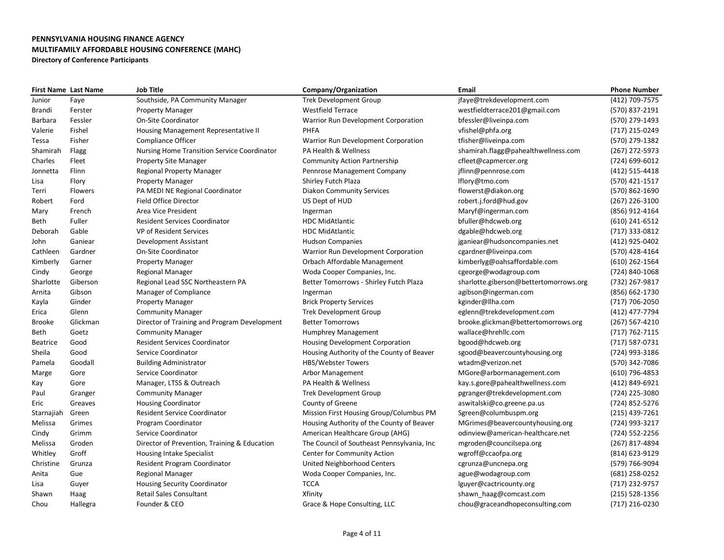| <b>First Name Last Name</b> |          | <b>Job Title</b>                                   | Company/Organization                        | Email                                  | <b>Phone Number</b> |
|-----------------------------|----------|----------------------------------------------------|---------------------------------------------|----------------------------------------|---------------------|
| Junior                      | Faye     | Southside, PA Community Manager                    | <b>Trek Development Group</b>               | jfaye@trekdevelopment.com              | (412) 709-7575      |
| Brandi                      | Ferster  | <b>Property Manager</b>                            | <b>Westfield Terrace</b>                    | westfieldterrace201@gmail.com          | (570) 837-2191      |
| Barbara                     | Fessler  | <b>On-Site Coordinator</b>                         | Warrior Run Development Corporation         | bfessler@liveinpa.com                  | (570) 279-1493      |
| Valerie                     | Fishel   | Housing Management Representative II               | <b>PHFA</b>                                 | vfishel@phfa.org                       | (717) 215-0249      |
| Tessa                       | Fisher   | Compliance Officer                                 | Warrior Run Development Corporation         | tfisher@liveinpa.com                   | (570) 279-1382      |
| Shamirah                    | Flagg    | <b>Nursing Home Transition Service Coordinator</b> | PA Health & Wellness                        | shamirah.flagg@pahealthwellness.com    | (267) 272-5973      |
| Charles                     | Fleet    | <b>Property Site Manager</b>                       | <b>Community Action Partnership</b>         | cfleet@capmercer.org                   | (724) 699-6012      |
| Jonnetta                    | Flinn    | <b>Regional Property Manager</b>                   | Pennrose Management Company                 | jflinn@pennrose.com                    | (412) 515-4418      |
| Lisa                        | Flory    | <b>Property Manager</b>                            | Shirley Futch Plaza                         | lflory@tmo.com                         | (570) 421-1517      |
| Terri                       | Flowers  | PA MEDI NE Regional Coordinator                    | <b>Diakon Community Services</b>            | flowerst@diakon.org                    | (570) 862-1690      |
| Robert                      | Ford     | <b>Field Office Director</b>                       | US Dept of HUD                              | robert.j.ford@hud.gov                  | (267) 226-3100      |
| Mary                        | French   | Area Vice President                                | Ingerman                                    | Maryf@ingerman.com                     | (856) 912-4164      |
| Beth                        | Fuller   | <b>Resident Services Coordinator</b>               | <b>HDC MidAtlantic</b>                      | bfuller@hdcweb.org                     | (610) 241-6512      |
| Deborah                     | Gable    | <b>VP of Resident Services</b>                     | <b>HDC MidAtlantic</b>                      | dgable@hdcweb.org                      | (717) 333-0812      |
| John                        | Ganiear  | Development Assistant                              | <b>Hudson Companies</b>                     | jganiear@hudsoncompanies.net           | (412) 925-0402      |
| Cathleen                    | Gardner  | <b>On-Site Coordinator</b>                         | Warrior Run Development Corporation         | cgardner@liveinpa.com                  | (570) 428-4164      |
| Kimberly                    | Garner   | <b>Property Manager</b>                            | Orbach Affordable Management                | kimberlyg@oahsaffordable.com           | (610) 262-1564      |
| Cindy                       | George   | <b>Regional Manager</b>                            | Woda Cooper Companies, Inc.                 | cgeorge@wodagroup.com                  | (724) 840-1068      |
| Sharlotte                   | Giberson | Regional Lead SSC Northeastern PA                  | Better Tomorrows - Shirley Futch Plaza      | sharlotte.giberson@bettertomorrows.org | (732) 267-9817      |
| Arnita                      | Gibson   | Manager of Compliance                              | Ingerman                                    | agibson@ingerman.com                   | (856) 662-1730      |
| Kayla                       | Ginder   | <b>Property Manager</b>                            | <b>Brick Property Services</b>              | kginder@llha.com                       | (717) 706-2050      |
| Erica                       | Glenn    | <b>Community Manager</b>                           | <b>Trek Development Group</b>               | eglenn@trekdevelopment.com             | (412) 477-7794      |
| <b>Brooke</b>               | Glickman | Director of Training and Program Development       | <b>Better Tomorrows</b>                     | brooke.glickman@bettertomorrows.org    | (267) 567-4210      |
| Beth                        | Goetz    | <b>Community Manager</b>                           | Humphrey Management                         | wallace@hrehllc.com                    | (717) 762-7115      |
| Beatrice                    | Good     | <b>Resident Services Coordinator</b>               | <b>Housing Development Corporation</b>      | bgood@hdcweb.org                       | (717) 587-0731      |
| Sheila                      | Good     | Service Coordinator                                | Housing Authority of the County of Beaver   | sgood@beavercountyhousing.org          | (724) 993-3186      |
| Pamela                      | Goodall  | <b>Building Administrator</b>                      | <b>HBS/Webster Towers</b>                   | wtadm@verizon.net                      | (570) 342-7086      |
| Marge                       | Gore     | Service Coordinator                                | Arbor Management                            | MGore@arbormanagement.com              | (610) 796-4853      |
| Kay                         | Gore     | Manager, LTSS & Outreach                           | PA Health & Wellness                        | kay.s.gore@pahealthwellness.com        | (412) 849-6921      |
| Paul                        | Granger  | <b>Community Manager</b>                           | <b>Trek Development Group</b>               | pgranger@trekdevelopment.com           | (724) 225-3080      |
| Eric                        | Greaves  | <b>Housing Coordinator</b>                         | County of Greene                            | aswitalski@co.greene.pa.us             | (724) 852-5276      |
| Starnajiah                  | Green    | <b>Resident Service Coordinator</b>                | Mission First Housing Group/Columbus PM     | Sgreen@columbuspm.org                  | (215) 439-7261      |
| Melissa                     | Grimes   | Program Coordinator                                | Housing Authority of the County of Beaver   | MGrimes@beavercountyhousing.org        | (724) 993-3217      |
| Cindy                       | Grimm    | Service Coordinator                                | American Healthcare Group (AHG)             | odinview@american-healthcare.net       | (724) 552-2256      |
| Melissa                     | Groden   | Director of Prevention, Training & Education       | The Council of Southeast Pennsylvania, Inc. | mgroden@councilsepa.org                | (267) 817-4894      |
| Whitley                     | Groff    | Housing Intake Specialist                          | <b>Center for Community Action</b>          | wgroff@ccaofpa.org                     | (814) 623-9129      |
| Christine                   | Grunza   | <b>Resident Program Coordinator</b>                | United Neighborhood Centers                 | cgrunza@uncnepa.org                    | (579) 766-9094      |
| Anita                       | Gue      | <b>Regional Manager</b>                            | Woda Cooper Companies, Inc.                 | ague@wodagroup.com                     | (681) 258-0252      |
| Lisa                        | Guyer    | <b>Housing Security Coordinator</b>                | <b>TCCA</b>                                 | lguyer@cactricounty.org                | (717) 232-9757      |
| Shawn                       | Haag     | <b>Retail Sales Consultant</b>                     | Xfinity                                     | shawn haag@comcast.com                 | $(215)$ 528-1356    |
| Chou                        | Hallegra | Founder & CEO                                      | Grace & Hope Consulting, LLC                | chou@graceandhopeconsulting.com        | (717) 216-0230      |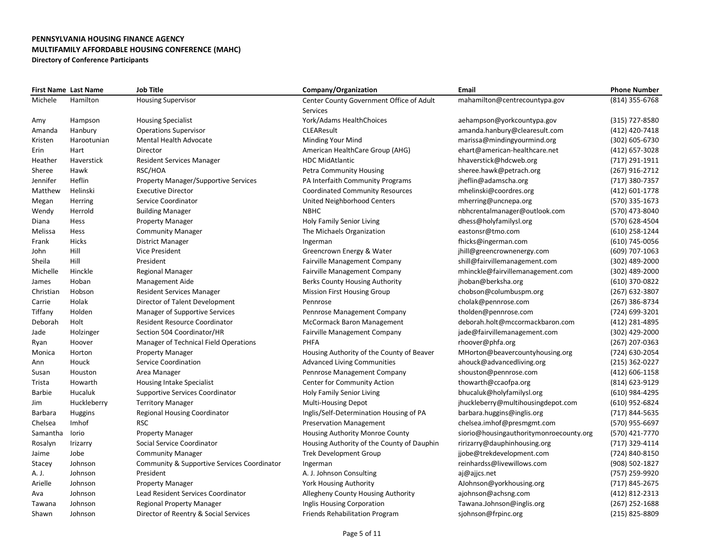|               | <b>First Name Last Name</b> | <b>Job Title</b>                            | Company/Organization                       | Email                                   | <b>Phone Number</b> |
|---------------|-----------------------------|---------------------------------------------|--------------------------------------------|-----------------------------------------|---------------------|
| Michele       | Hamilton                    | <b>Housing Supervisor</b>                   | Center County Government Office of Adult   | mahamilton@centrecountypa.gov           | (814) 355-6768      |
|               |                             |                                             | Services                                   |                                         |                     |
| Amy           | Hampson                     | <b>Housing Specialist</b>                   | York/Adams HealthChoices                   | aehampson@yorkcountypa.gov              | (315) 727-8580      |
| Amanda        | Hanbury                     | <b>Operations Supervisor</b>                | <b>CLEAResult</b>                          | amanda.hanbury@clearesult.com           | (412) 420-7418      |
| Kristen       | Harootunian                 | <b>Mental Health Advocate</b>               | Minding Your Mind                          | marissa@mindingyourmind.org             | (302) 605-6730      |
| Erin          | Hart                        | Director                                    | American HealthCare Group (AHG)            | ehart@american-healthcare.net           | (412) 657-3028      |
| Heather       | Haverstick                  | <b>Resident Services Manager</b>            | <b>HDC MidAtlantic</b>                     | hhaverstick@hdcweb.org                  | (717) 291-1911      |
| Sheree        | Hawk                        | RSC/HOA                                     | <b>Petra Community Housing</b>             | sheree.hawk@petrach.org                 | (267) 916-2712      |
| Jennifer      | Heflin                      | <b>Property Manager/Supportive Services</b> | PA Interfaith Community Programs           | jheflin@adamscha.org                    | (717) 380-7357      |
| Matthew       | Helinski                    | <b>Executive Director</b>                   | <b>Coordinated Community Resources</b>     | mhelinski@coordres.org                  | (412) 601-1778      |
| Megan         | Herring                     | Service Coordinator                         | United Neighborhood Centers                | mherring@uncnepa.org                    | (570) 335-1673      |
| Wendy         | Herrold                     | <b>Building Manager</b>                     | <b>NBHC</b>                                | nbhcrentalmanager@outlook.com           | (570) 473-8040      |
| Diana         | Hess                        | <b>Property Manager</b>                     | Holy Family Senior Living                  | dhess@holyfamilysl.org                  | (570) 628-4504      |
| Melissa       | Hess                        | <b>Community Manager</b>                    | The Michaels Organization                  | eastonsr@tmo.com                        | (610) 258-1244      |
| Frank         | Hicks                       | <b>District Manager</b>                     | Ingerman                                   | fhicks@ingerman.com                     | (610) 745-0056      |
| John          | Hill                        | <b>Vice President</b>                       | Greencrown Energy & Water                  | jhill@greencrownenergy.com              | (609) 707-1063      |
| Sheila        | Hill                        | President                                   | <b>Fairville Management Company</b>        | shill@fairvillemanagement.com           | (302) 489-2000      |
| Michelle      | Hinckle                     | <b>Regional Manager</b>                     | Fairville Management Company               | mhinckle@fairvillemanagement.com        | (302) 489-2000      |
| James         | Hoban                       | <b>Management Aide</b>                      | <b>Berks County Housing Authority</b>      | jhoban@berksha.org                      | (610) 370-0822      |
| Christian     | Hobson                      | <b>Resident Services Manager</b>            | <b>Mission First Housing Group</b>         | chobson@columbuspm.org                  | (267) 632-3807      |
| Carrie        | Holak                       | Director of Talent Development              | Pennrose                                   | cholak@pennrose.com                     | (267) 386-8734      |
| Tiffany       | Holden                      | <b>Manager of Supportive Services</b>       | Pennrose Management Company                | tholden@pennrose.com                    | (724) 699-3201      |
| Deborah       | Holt                        | <b>Resident Resource Coordinator</b>        | <b>McCormack Baron Management</b>          | deborah.holt@mccormackbaron.com         | (412) 281-4895      |
| Jade          | Holzinger                   | Section 504 Coordinator/HR                  | <b>Fairville Management Company</b>        | jade@fairvillemanagement.com            | (302) 429-2000      |
| Ryan          | Hoover                      | Manager of Technical Field Operations       | <b>PHFA</b>                                | rhoover@phfa.org                        | (267) 207-0363      |
| Monica        | Horton                      | <b>Property Manager</b>                     | Housing Authority of the County of Beaver  | MHorton@beavercountyhousing.org         | (724) 630-2054      |
| Ann           | Houck                       | Service Coordination                        | <b>Advanced Living Communities</b>         | ahouck@advancedliving.org               | (215) 362-0227      |
| Susan         | Houston                     | Area Manager                                | Pennrose Management Company                | shouston@pennrose.com                   | (412) 606-1158      |
| Trista        | Howarth                     | Housing Intake Specialist                   | <b>Center for Community Action</b>         | thowarth@ccaofpa.org                    | (814) 623-9129      |
| <b>Barbie</b> | Hucaluk                     | <b>Supportive Services Coordinator</b>      | Holy Family Senior Living                  | bhucaluk@holyfamilysl.org               | (610) 984-4295      |
| Jim           | Huckleberry                 | <b>Territory Manager</b>                    | <b>Multi-Housing Depot</b>                 | jhuckleberry@multihousingdepot.com      | (610) 952-6824      |
| Barbara       | Huggins                     | <b>Regional Housing Coordinator</b>         | Inglis/Self-Determination Housing of PA    | barbara.huggins@inglis.org              | (717) 844-5635      |
| Chelsea       | Imhof                       | <b>RSC</b>                                  | <b>Preservation Management</b>             | chelsea.imhof@presmgmt.com              | (570) 955-6697      |
| Samantha      | lorio                       | <b>Property Manager</b>                     | <b>Housing Authority Monroe County</b>     | siorio@housingauthoritymonroecounty.org | (570) 421-7770      |
| Rosalyn       | Irizarry                    | Social Service Coordinator                  | Housing Authority of the County of Dauphin | ririzarry@dauphinhousing.org            | (717) 329-4114      |
| Jaime         | Jobe                        | <b>Community Manager</b>                    | <b>Trek Development Group</b>              | jjobe@trekdevelopment.com               | (724) 840-8150      |
| Stacey        | Johnson                     | Community & Supportive Services Coordinator | Ingerman                                   | reinhardss@livewillows.com              | (908) 502-1827      |
| A. J.         | Johnson                     | President                                   | A. J. Johnson Consulting                   | aj@ajjcs.net                            | (757) 259-9920      |
| Arielle       | Johnson                     | <b>Property Manager</b>                     | <b>York Housing Authority</b>              | AJohnson@yorkhousing.org                | (717) 845-2675      |
| Ava           | Johnson                     | Lead Resident Services Coordinator          | Allegheny County Housing Authority         | ajohnson@achsng.com                     | (412) 812-2313      |
| Tawana        | Johnson                     | <b>Regional Property Manager</b>            | Inglis Housing Corporation                 | Tawana.Johnson@inglis.org               | $(267)$ 252-1688    |
| Shawn         | Johnson                     | Director of Reentry & Social Services       | <b>Friends Rehabilitation Program</b>      | sjohnson@frpinc.org                     | (215) 825-8809      |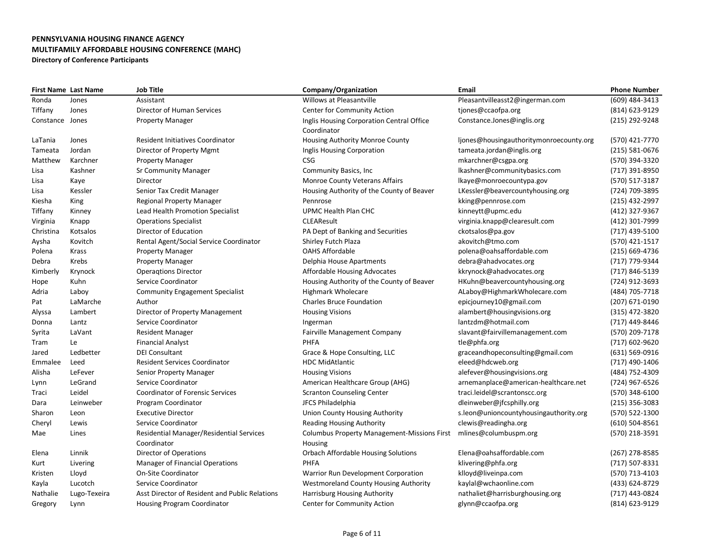|                 | <b>First Name Last Name</b> | <b>Job Title</b>                               | Company/Organization                               | Email                                   | <b>Phone Number</b> |
|-----------------|-----------------------------|------------------------------------------------|----------------------------------------------------|-----------------------------------------|---------------------|
| Ronda           | Jones                       | Assistant                                      | Willows at Pleasantville                           | Pleasantvilleasst2@ingerman.com         | (609) 484-3413      |
| Tiffany         | Jones                       | Director of Human Services                     | <b>Center for Community Action</b>                 | tjones@ccaofpa.org                      | (814) 623-9129      |
| Constance Jones |                             | <b>Property Manager</b>                        | Inglis Housing Corporation Central Office          | Constance.Jones@inglis.org              | (215) 292-9248      |
|                 |                             |                                                | Coordinator                                        |                                         |                     |
| LaTania         | Jones                       | <b>Resident Initiatives Coordinator</b>        | Housing Authority Monroe County                    | ljones@housingauthoritymonroecounty.org | (570) 421-7770      |
| Tameata         | Jordan                      | Director of Property Mgmt                      | Inglis Housing Corporation                         | tameata.jordan@inglis.org               | $(215) 581 - 0676$  |
| Matthew         | Karchner                    | <b>Property Manager</b>                        | <b>CSG</b>                                         | mkarchner@csgpa.org                     | (570) 394-3320      |
| Lisa            | Kashner                     | <b>Sr Community Manager</b>                    | Community Basics, Inc                              | lkashner@communitybasics.com            | (717) 391-8950      |
| Lisa            | Kaye                        | Director                                       | <b>Monroe County Veterans Affairs</b>              | lkaye@monroecountypa.gov                | (570) 517-3187      |
| Lisa            | Kessler                     | Senior Tax Credit Manager                      | Housing Authority of the County of Beaver          | LKessler@beavercountyhousing.org        | (724) 709-3895      |
| Kiesha          | King                        | <b>Regional Property Manager</b>               | Pennrose                                           | kking@pennrose.com                      | (215) 432-2997      |
| Tiffany         | Kinney                      | Lead Health Promotion Specialist               | UPMC Health Plan CHC                               | kinneytt@upmc.edu                       | (412) 327-9367      |
| Virginia        | Knapp                       | <b>Operations Specialist</b>                   | <b>CLEAResult</b>                                  | virginia.knapp@clearesult.com           | (412) 301-7999      |
| Christina       | Kotsalos                    | Director of Education                          | PA Dept of Banking and Securities                  | ckotsalos@pa.gov                        | (717) 439-5100      |
| Aysha           | Kovitch                     | Rental Agent/Social Service Coordinator        | Shirley Futch Plaza                                | akovitch@tmo.com                        | (570) 421-1517      |
| Polena          | Krass                       | <b>Property Manager</b>                        | <b>OAHS Affordable</b>                             | polena@oahsaffordable.com               | (215) 669-4736      |
| Debra           | Krebs                       | <b>Property Manager</b>                        | Delphia House Apartments                           | debra@ahadvocates.org                   | (717) 779-9344      |
| Kimberly        | Krynock                     | <b>Operagtions Director</b>                    | Affordable Housing Advocates                       | kkrynock@ahadvocates.org                | (717) 846-5139      |
| Hope            | Kuhn                        | Service Coordinator                            | Housing Authority of the County of Beaver          | HKuhn@beavercountyhousing.org           | (724) 912-3693      |
| Adria           | Laboy                       | <b>Community Engagement Specialist</b>         | <b>Highmark Wholecare</b>                          | ALaboy@HighmarkWholecare.com            | (484) 705-7718      |
| Pat             | LaMarche                    | Author                                         | <b>Charles Bruce Foundation</b>                    | epicjourney10@gmail.com                 | (207) 671-0190      |
| Alyssa          | Lambert                     | Director of Property Management                | <b>Housing Visions</b>                             | alambert@housingvisions.org             | (315) 472-3820      |
| Donna           | Lantz                       | Service Coordinator                            | Ingerman                                           | lantzdm@hotmail.com                     | (717) 449-8446      |
| Syrita          | LaVant                      | <b>Resident Manager</b>                        | <b>Fairville Management Company</b>                | slavant@fairvillemanagement.com         | (570) 209-7178      |
| Tram            | Le                          | <b>Financial Analyst</b>                       | <b>PHFA</b>                                        | tle@phfa.org                            | (717) 602-9620      |
| Jared           | Ledbetter                   | <b>DEI Consultant</b>                          | Grace & Hope Consulting, LLC                       | graceandhopeconsulting@gmail.com        | (631) 569-0916      |
| Emmalee         | Leed                        | <b>Resident Services Coordinator</b>           | <b>HDC MidAtlantic</b>                             | eleed@hdcweb.org                        | (717) 490-1406      |
| Alisha          | LeFever                     | Senior Property Manager                        | <b>Housing Visions</b>                             | alefever@housingvisions.org             | (484) 752-4309      |
| Lynn            | LeGrand                     | Service Coordinator                            | American Healthcare Group (AHG)                    | arnemanplace@american-healthcare.net    | (724) 967-6526      |
| Traci           | Leidel                      | <b>Coordinator of Forensic Services</b>        | <b>Scranton Counseling Center</b>                  | traci.leidel@scrantonscc.org            | (570) 348-6100      |
| Dara            | Leinweber                   | Program Coordinator                            | JFCS Philadelphia                                  | dleinweber@jfcsphilly.org               | $(215)$ 356-3083    |
| Sharon          | Leon                        | <b>Executive Director</b>                      | Union County Housing Authority                     | s.leon@unioncountyhousingauthority.org  | (570) 522-1300      |
| Cheryl          | Lewis                       | Service Coordinator                            | <b>Reading Housing Authority</b>                   | clewis@readingha.org                    | $(610) 504 - 8561$  |
| Mae             | Lines                       | Residential Manager/Residential Services       | <b>Columbus Property Management-Missions First</b> | mlines@columbuspm.org                   | (570) 218-3591      |
|                 |                             | Coordinator                                    | Housing                                            |                                         |                     |
| Elena           | Linnik                      | Director of Operations                         | <b>Orbach Affordable Housing Solutions</b>         | Elena@oahsaffordable.com                | (267) 278-8585      |
| Kurt            | Livering                    | <b>Manager of Financial Operations</b>         | <b>PHFA</b>                                        | klivering@phfa.org                      | (717) 507-8331      |
| Kristen         | Lloyd                       | On-Site Coordinator                            | Warrior Run Development Corporation                | klloyd@liveinpa.com                     | (570) 713-4103      |
| Kayla           | Lucotch                     | Service Coordinator                            | <b>Westmoreland County Housing Authority</b>       | kaylal@wchaonline.com                   | (433) 624-8729      |
| Nathalie        | Lugo-Texeira                | Asst Director of Resident and Public Relations | Harrisburg Housing Authority                       | nathaliet@harrisburghousing.org         | (717) 443-0824      |
| Gregory         | Lynn                        | <b>Housing Program Coordinator</b>             | <b>Center for Community Action</b>                 | glynn@ccaofpa.org                       | (814) 623-9129      |
|                 |                             |                                                |                                                    |                                         |                     |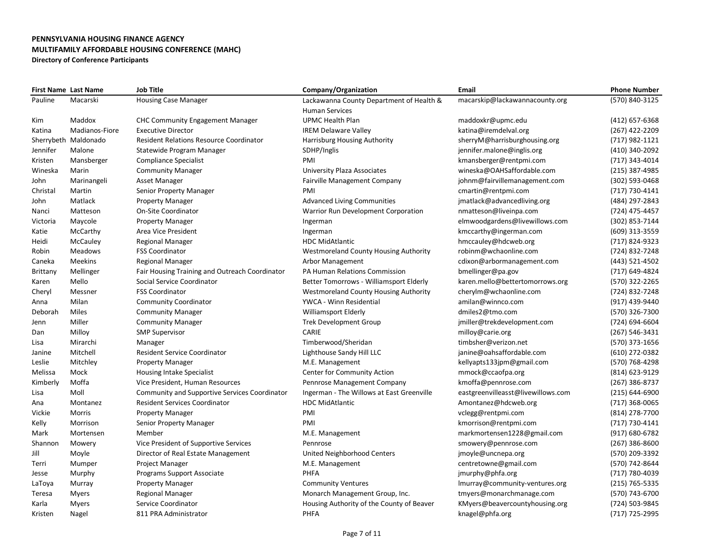|                 | <b>First Name Last Name</b> | <b>Job Title</b>                               | Company/Organization                         | Email                              | <b>Phone Number</b> |
|-----------------|-----------------------------|------------------------------------------------|----------------------------------------------|------------------------------------|---------------------|
| Pauline         | Macarski                    | <b>Housing Case Manager</b>                    | Lackawanna County Department of Health &     | macarskip@lackawannacounty.org     | (570) 840-3125      |
|                 |                             |                                                | Human Services                               |                                    |                     |
| Kim             | Maddox                      | <b>CHC Community Engagement Manager</b>        | <b>UPMC Health Plan</b>                      | maddoxkr@upmc.edu                  | (412) 657-6368      |
| Katina          | Madianos-Fiore              | <b>Executive Director</b>                      | <b>IREM Delaware Valley</b>                  | katina@iremdelval.org              | (267) 422-2209      |
|                 | Sherrybeth Maldonado        | <b>Resident Relations Resource Coordinator</b> | Harrisburg Housing Authority                 | sherryM@harrisburghousing.org      | (717) 982-1121      |
| Jennifer        | Malone                      | Statewide Program Manager                      | SDHP/Inglis                                  | jennifer.malone@inglis.org         | (410) 340-2092      |
| Kristen         | Mansberger                  | Compliance Specialist                          | PMI                                          | kmansberger@rentpmi.com            | (717) 343-4014      |
| Wineska         | Marin                       | <b>Community Manager</b>                       | <b>University Plaza Associates</b>           | wineska@OAHSaffordable.com         | (215) 387-4985      |
| John            | Marinangeli                 | Asset Manager                                  | <b>Fairville Management Company</b>          | johnm@fairvillemanagement.com      | (302) 593-0468      |
| Christal        | Martin                      | Senior Property Manager                        | PMI                                          | cmartin@rentpmi.com                | (717) 730-4141      |
| John            | Matlack                     | <b>Property Manager</b>                        | <b>Advanced Living Communities</b>           | jmatlack@advancedliving.org        | (484) 297-2843      |
| Nanci           | Matteson                    | <b>On-Site Coordinator</b>                     | Warrior Run Development Corporation          | nmatteson@liveinpa.com             | (724) 475-4457      |
| Victoria        | Maycole                     | <b>Property Manager</b>                        | Ingerman                                     | elmwoodgardens@livewillows.com     | (302) 853-7144      |
| Katie           | McCarthy                    | Area Vice President                            | Ingerman                                     | kmccarthy@ingerman.com             | (609) 313-3559      |
| Heidi           | McCauley                    | <b>Regional Manager</b>                        | <b>HDC MidAtlantic</b>                       | hmccauley@hdcweb.org               | (717) 824-9323      |
| Robin           | Meadows                     | <b>FSS Coordinator</b>                         | <b>Westmoreland County Housing Authority</b> | robinm@wchaonline.com              | (724) 832-7248      |
| Caneka          | <b>Meekins</b>              | <b>Regional Manager</b>                        | Arbor Management                             | cdixon@arbormanagement.com         | (443) 521-4502      |
| <b>Brittany</b> | Mellinger                   | Fair Housing Training and Outreach Coordinator | <b>PA Human Relations Commission</b>         | bmellinger@pa.gov                  | (717) 649-4824      |
| Karen           | Mello                       | Social Service Coordinator                     | Better Tomorrows - Williamsport Elderly      | karen.mello@bettertomorrows.org    | (570) 322-2265      |
| Cheryl          | Messner                     | <b>FSS Coordinator</b>                         | <b>Westmoreland County Housing Authority</b> | cherylm@wchaonline.com             | (724) 832-7248      |
| Anna            | Milan                       | <b>Community Coordinator</b>                   | YWCA - Winn Residential                      | amilan@winnco.com                  | (917) 439-9440      |
| Deborah         | Miles                       | <b>Community Manager</b>                       | <b>Williamsport Elderly</b>                  | dmiles2@tmo.com                    | (570) 326-7300      |
| Jenn            | Miller                      | <b>Community Manager</b>                       | <b>Trek Development Group</b>                | jmiller@trekdevelopment.com        | (724) 694-6604      |
| Dan             | Milloy                      | <b>SMP Supervisor</b>                          | CARIE                                        | milloy@carie.org                   | (267) 546-3431      |
| Lisa            | Mirarchi                    | Manager                                        | Timberwood/Sheridan                          | timbsher@verizon.net               | (570) 373-1656      |
| Janine          | Mitchell                    | Resident Service Coordinator                   | Lighthouse Sandy Hill LLC                    | janine@oahsaffordable.com          | (610) 272-0382      |
| Leslie          | Mitchley                    | <b>Property Manager</b>                        | M.E. Management                              | kellyapts133jpm@gmail.com          | (570) 768-4298      |
| Melissa         | Mock                        | Housing Intake Specialist                      | Center for Community Action                  | mmock@ccaofpa.org                  | (814) 623-9129      |
| Kimberly        | Moffa                       | Vice President, Human Resources                | Pennrose Management Company                  | kmoffa@pennrose.com                | (267) 386-8737      |
| Lisa            | Moll                        | Community and Supportive Services Coordinator  | Ingerman - The Willows at East Greenville    | eastgreenvilleasst@livewillows.com | $(215) 644 - 6900$  |
| Ana             | Montanez                    | <b>Resident Services Coordinator</b>           | <b>HDC MidAtlantic</b>                       | Amontanez@hdcweb.org               | (717) 368-0065      |
| Vickie          | Morris                      | <b>Property Manager</b>                        | PMI                                          | vclegg@rentpmi.com                 | (814) 278-7700      |
| Kelly           | Morrison                    | Senior Property Manager                        | PMI                                          | kmorrison@rentpmi.com              | (717) 730-4141      |
| Mark            | Mortensen                   | Member                                         | M.E. Management                              | markmortensen1228@gmail.com        | (917) 680-6782      |
| Shannon         | Mowery                      | Vice President of Supportive Services          | Pennrose                                     | smowery@pennrose.com               | $(267)$ 386-8600    |
| Jill            | Moyle                       | Director of Real Estate Management             | United Neighborhood Centers                  | jmoyle@uncnepa.org                 | (570) 209-3392      |
| Terri           | Mumper                      | Project Manager                                | M.E. Management                              | centretowne@gmail.com              | (570) 742-8644      |
| Jesse           | Murphy                      | Programs Support Associate                     | PHFA                                         | jmurphy@phfa.org                   | (717) 780-4039      |
| LaToya          | Murray                      | <b>Property Manager</b>                        | <b>Community Ventures</b>                    | Imurray@community-ventures.org     | (215) 765-5335      |
| Teresa          | <b>Myers</b>                | <b>Regional Manager</b>                        | Monarch Management Group, Inc.               | tmyers@monarchmanage.com           | (570) 743-6700      |
| Karla           | <b>Myers</b>                | Service Coordinator                            | Housing Authority of the County of Beaver    | KMyers@beavercountyhousing.org     | (724) 503-9845      |
| Kristen         | Nagel                       | 811 PRA Administrator                          | PHFA                                         | knagel@phfa.org                    | (717) 725-2995      |
|                 |                             |                                                |                                              |                                    |                     |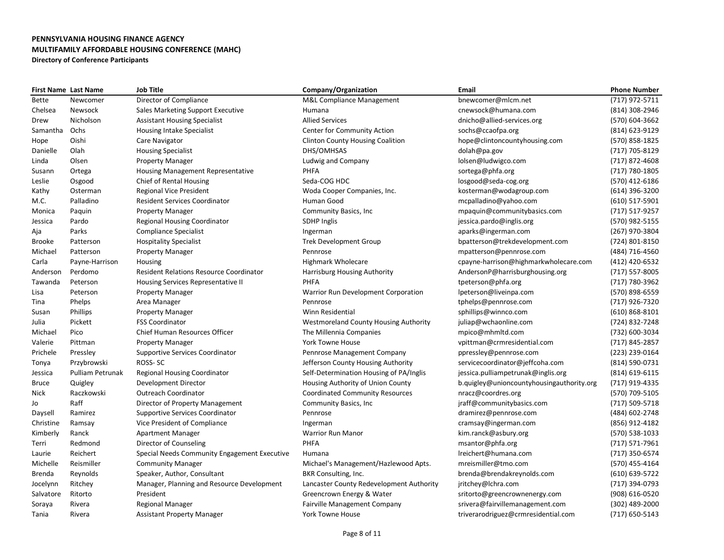| <b>First Name Last Name</b> |                  | Job Title                                      | Company/Organization                         | Email                                     | <b>Phone Number</b> |
|-----------------------------|------------------|------------------------------------------------|----------------------------------------------|-------------------------------------------|---------------------|
| Bette                       | Newcomer         | Director of Compliance                         | M&L Compliance Management                    | bnewcomer@mlcm.net                        | (717) 972-5711      |
| Chelsea                     | Newsock          | Sales Marketing Support Executive              | Humana                                       | cnewsock@humana.com                       | (814) 308-2946      |
| Drew                        | Nicholson        | <b>Assistant Housing Specialist</b>            | <b>Allied Services</b>                       | dnicho@allied-services.org                | (570) 604-3662      |
| Samantha                    | Ochs             | Housing Intake Specialist                      | <b>Center for Community Action</b>           | sochs@ccaofpa.org                         | (814) 623-9129      |
| Hope                        | Oishi            | Care Navigator                                 | <b>Clinton County Housing Coalition</b>      | hope@clintoncountyhousing.com             | (570) 858-1825      |
| Danielle                    | Olah             | <b>Housing Specialist</b>                      | DHS/OMHSAS                                   | dolah@pa.gov                              | (717) 705-8129      |
| Linda                       | Olsen            | <b>Property Manager</b>                        | Ludwig and Company                           | lolsen@ludwigco.com                       | (717) 872-4608      |
| Susann                      | Ortega           | <b>Housing Management Representative</b>       | PHFA                                         | sortega@phfa.org                          | (717) 780-1805      |
| Leslie                      | Osgood           | Chief of Rental Housing                        | Seda-COG HDC                                 | losgood@seda-cog.org                      | (570) 412-6186      |
| Kathy                       | Osterman         | <b>Regional Vice President</b>                 | Woda Cooper Companies, Inc.                  | kosterman@wodagroup.com                   | (614) 396-3200      |
| M.C.                        | Palladino        | <b>Resident Services Coordinator</b>           | Human Good                                   | mcpalladino@yahoo.com                     | (610) 517-5901      |
| Monica                      | Paquin           | <b>Property Manager</b>                        | <b>Community Basics, Inc.</b>                | mpaquin@communitybasics.com               | (717) 517-9257      |
| Jessica                     | Pardo            | <b>Regional Housing Coordinator</b>            | <b>SDHP Inglis</b>                           | jessica.pardo@inglis.org                  | (570) 982-5155      |
| Aja                         | Parks            | <b>Compliance Specialist</b>                   | Ingerman                                     | aparks@ingerman.com                       | (267) 970-3804      |
| Brooke                      | Patterson        | <b>Hospitality Specialist</b>                  | <b>Trek Development Group</b>                | bpatterson@trekdevelopment.com            | (724) 801-8150      |
| Michael                     | Patterson        | <b>Property Manager</b>                        | Pennrose                                     | mpatterson@pennrose.com                   | (484) 716-4560      |
| Carla                       | Payne-Harrison   | Housing                                        | <b>Highmark Wholecare</b>                    | cpayne-harrison@highmarkwholecare.com     | (412) 420-6532      |
| Anderson                    | Perdomo          | <b>Resident Relations Resource Coordinator</b> | Harrisburg Housing Authority                 | AndersonP@harrisburghousing.org           | (717) 557-8005      |
| Tawanda                     | Peterson         | Housing Services Representative II             | PHFA                                         | tpeterson@phfa.org                        | (717) 780-3962      |
| Lisa                        | Peterson         | <b>Property Manager</b>                        | Warrior Run Development Corporation          | lpeterson@liveinpa.com                    | (570) 898-6559      |
| Tina                        | Phelps           | Area Manager                                   | Pennrose                                     | tphelps@pennrose.com                      | (717) 926-7320      |
| Susan                       | <b>Phillips</b>  | <b>Property Manager</b>                        | Winn Residential                             | sphillips@winnco.com                      | $(610)$ 868-8101    |
| Julia                       | Pickett          | <b>FSS Coordinator</b>                         | <b>Westmoreland County Housing Authority</b> | juliap@wchaonline.com                     | (724) 832-7248      |
| Michael                     | Pico             | <b>Chief Human Resources Officer</b>           | The Millennia Companies                      | mpico@mhmltd.com                          | (732) 600-3034      |
| Valerie                     | Pittman          | <b>Property Manager</b>                        | <b>York Towne House</b>                      | vpittman@crmresidential.com               | (717) 845-2857      |
| Prichele                    | Pressley         | <b>Supportive Services Coordinator</b>         | Pennrose Management Company                  | ppressley@pennrose.com                    | (223) 239-0164      |
| Tonya                       | Przybrowski      | ROSS-SC                                        | Jefferson County Housing Authority           | servicecoordinator@jeffcoha.com           | (814) 590-0731      |
| Jessica                     | Pulliam Petrunak | <b>Regional Housing Coordinator</b>            | Self-Determination Housing of PA/Inglis      | jessica.pulliampetrunak@inglis.org        | (814) 619-6115      |
| <b>Bruce</b>                | Quigley          | Development Director                           | Housing Authority of Union County            | b.quigley@unioncountyhousingauthority.org | (717) 919-4335      |
| Nick                        | Raczkowski       | <b>Outreach Coordinator</b>                    | <b>Coordinated Community Resources</b>       | nracz@coordres.org                        | (570) 709-5105      |
| Jo                          | Raff             | Director of Property Management                | Community Basics, Inc.                       | jraff@communitybasics.com                 | (717) 509-5718      |
| Daysell                     | Ramirez          | <b>Supportive Services Coordinator</b>         | Pennrose                                     | dramirez@pennrose.com                     | (484) 602-2748      |
| Christine                   | Ramsay           | Vice President of Compliance                   | Ingerman                                     | cramsay@ingerman.com                      | (856) 912-4182      |
| Kimberly                    | Ranck            | <b>Apartment Manager</b>                       | <b>Warrior Run Manor</b>                     | kim.ranck@asbury.org                      | (570) 538-1033      |
| Terri                       | Redmond          | Director of Counseling                         | <b>PHFA</b>                                  | msantor@phfa.org                          | (717) 571-7961      |
| Laurie                      | Reichert         | Special Needs Community Engagement Executive   | Humana                                       | Ireichert@humana.com                      | (717) 350-6574      |
| Michelle                    | Reismiller       | <b>Community Manager</b>                       | Michael's Management/Hazlewood Apts.         | mreismiller@tmo.com                       | (570) 455-4164      |
| Brenda                      | Reynolds         | Speaker, Author, Consultant                    | BKR Consulting, Inc.                         | brenda@brendakreynolds.com                | (610) 639-5722      |
| Jocelynn                    | Ritchey          | Manager, Planning and Resource Development     | Lancaster County Redevelopment Authority     | jritchey@lchra.com                        | (717) 394-0793      |
| Salvatore                   | Ritorto          | President                                      | Greencrown Energy & Water                    | sritorto@greencrownenergy.com             | (908) 616-0520      |
| Soraya                      | Rivera           | Regional Manager                               | <b>Fairville Management Company</b>          | srivera@fairvillemanagement.com           | (302) 489-2000      |
| Tania                       | Rivera           | <b>Assistant Property Manager</b>              | <b>York Towne House</b>                      | triverarodriguez@crmresidential.com       | (717) 650-5143      |
|                             |                  |                                                |                                              |                                           |                     |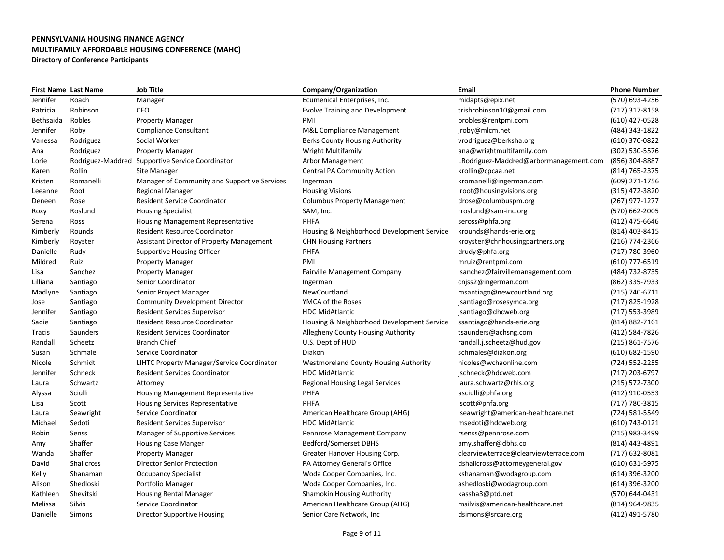| <b>First Name Last Name</b> |                   | <b>Job Title</b>                                  | Company/Organization                         | <b>Email</b>                           | <b>Phone Number</b> |
|-----------------------------|-------------------|---------------------------------------------------|----------------------------------------------|----------------------------------------|---------------------|
| Jennifer                    | Roach             | Manager                                           | Ecumenical Enterprises, Inc.                 | midapts@epix.net                       | (570) 693-4256      |
| Patricia                    | Robinson          | CEO                                               | <b>Evolve Training and Development</b>       | trishrobinson10@gmail.com              | (717) 317-8158      |
| Bethsaida                   | Robles            | <b>Property Manager</b>                           | PMI                                          | brobles@rentpmi.com                    | (610) 427-0528      |
| Jennifer                    | Roby              | <b>Compliance Consultant</b>                      | <b>M&amp;L Compliance Management</b>         | jroby@mlcm.net                         | (484) 343-1822      |
| Vanessa                     | Rodriguez         | Social Worker                                     | <b>Berks County Housing Authority</b>        | vrodriguez@berksha.org                 | (610) 370-0822      |
| Ana                         | Rodriguez         | <b>Property Manager</b>                           | <b>Wright Multifamily</b>                    | ana@wrightmultifamily.com              | (302) 530-5576      |
| Lorie                       | Rodriguez-Maddred | Supportive Service Coordinator                    | Arbor Management                             | LRodriguez-Maddred@arbormanagement.com | (856) 304-8887      |
| Karen                       | Rollin            | Site Manager                                      | <b>Central PA Community Action</b>           | krollin@cpcaa.net                      | (814) 765-2375      |
| Kristen                     | Romanelli         | Manager of Community and Supportive Services      | Ingerman                                     | kromanelli@ingerman.com                | (609) 271-1756      |
| Leeanne                     | Root              | <b>Regional Manager</b>                           | <b>Housing Visions</b>                       | Iroot@housingvisions.org               | (315) 472-3820      |
| Deneen                      | Rose              | <b>Resident Service Coordinator</b>               | <b>Columbus Property Management</b>          | drose@columbuspm.org                   | (267) 977-1277      |
| Roxy                        | Roslund           | <b>Housing Specialist</b>                         | SAM, Inc.                                    | rroslund@sam-inc.org                   | (570) 662-2005      |
| Serena                      | Ross              | Housing Management Representative                 | PHFA                                         | seross@phfa.org                        | (412) 475-6646      |
| Kimberly                    | Rounds            | <b>Resident Resource Coordinator</b>              | Housing & Neighborhood Development Service   | krounds@hands-erie.org                 | (814) 403-8415      |
| Kimberly                    | Royster           | <b>Assistant Director of Property Management</b>  | <b>CHN Housing Partners</b>                  | kroyster@chnhousingpartners.org        | (216) 774-2366      |
| Danielle                    | Rudy              | <b>Supportive Housing Officer</b>                 | PHFA                                         | drudy@phfa.org                         | (717) 780-3960      |
| Mildred                     | Ruiz              | <b>Property Manager</b>                           | PMI                                          | mruiz@rentpmi.com                      | (610) 777-6519      |
| Lisa                        | Sanchez           | <b>Property Manager</b>                           | <b>Fairville Management Company</b>          | lsanchez@fairvillemanagement.com       | (484) 732-8735      |
| Lilliana                    | Santiago          | Senior Coordinator                                | Ingerman                                     | cnjss2@ingerman.com                    | (862) 335-7933      |
| Madlyne                     | Santiago          | Senior Project Manager                            | NewCourtland                                 | msantiago@newcourtland.org             | (215) 740-6711      |
| Jose                        | Santiago          | <b>Community Development Director</b>             | YMCA of the Roses                            | jsantiago@rosesymca.org                | (717) 825-1928      |
| Jennifer                    | Santiago          | <b>Resident Services Supervisor</b>               | <b>HDC MidAtlantic</b>                       | jsantiago@dhcweb.org                   | (717) 553-3989      |
| Sadie                       | Santiago          | <b>Resident Resource Coordinator</b>              | Housing & Neighborhood Development Service   | ssantiago@hands-erie.org               | (814) 882-7161      |
| Tracis                      | Saunders          | <b>Resident Services Coordinator</b>              | Allegheny County Housing Authority           | tsaunders@achsng.com                   | (412) 584-7826      |
| Randall                     | Scheetz           | <b>Branch Chief</b>                               | U.S. Dept of HUD                             | randall.j.scheetz@hud.gov              | (215) 861-7576      |
| Susan                       | Schmale           | Service Coordinator                               | Diakon                                       | schmales@diakon.org                    | (610) 682-1590      |
| Nicole                      | Schmidt           | <b>LIHTC Property Manager/Service Coordinator</b> | <b>Westmoreland County Housing Authority</b> | nicoles@wchaonline.com                 | (724) 552-2255      |
| Jennifer                    | Schneck           | <b>Resident Services Coordinator</b>              | <b>HDC MidAtlantic</b>                       | jschneck@hdcweb.com                    | (717) 203-6797      |
| Laura                       | Schwartz          | Attorney                                          | Regional Housing Legal Services              | laura.schwartz@rhls.org                | (215) 572-7300      |
| Alyssa                      | Sciulli           | <b>Housing Management Representative</b>          | PHFA                                         | asciulli@phfa.org                      | (412) 910-0553      |
| Lisa                        | Scott             | <b>Housing Services Representative</b>            | <b>PHFA</b>                                  | lscott@phfa.org                        | (717) 780-3815      |
| Laura                       | Seawright         | Service Coordinator                               | American Healthcare Group (AHG)              | lseawright@american-healthcare.net     | (724) 581-5549      |
| Michael                     | Sedoti            | <b>Resident Services Supervisor</b>               | <b>HDC MidAtlantic</b>                       | msedoti@hdcweb.org                     | (610) 743-0121      |
| Robin                       | Senss             | <b>Manager of Supportive Services</b>             | Pennrose Management Company                  | rsenss@pennrose.com                    | (215) 983-3499      |
| Amy                         | Shaffer           | <b>Housing Case Manger</b>                        | <b>Bedford/Somerset DBHS</b>                 | amy.shaffer@dbhs.co                    | (814) 443-4891      |
| Wanda                       | Shaffer           | <b>Property Manager</b>                           | Greater Hanover Housing Corp.                | clearviewterrace@clearviewterrace.com  | $(717)$ 632-8081    |
| David                       | <b>Shallcross</b> | <b>Director Senior Protection</b>                 | PA Attorney General's Office                 | dshallcross@attorneygeneral.gov        | (610) 631-5975      |
| Kelly                       | Shanaman          | <b>Occupancy Specialist</b>                       | Woda Cooper Companies, Inc.                  | kshanaman@wodagroup.com                | (614) 396-3200      |
| Alison                      | Shedloski         | Portfolio Manager                                 | Woda Cooper Companies, Inc.                  | ashedloski@wodagroup.com               | (614) 396-3200      |
| Kathleen                    | Shevitski         | <b>Housing Rental Manager</b>                     | <b>Shamokin Housing Authority</b>            | kassha3@ptd.net                        | (570) 644-0431      |
| Melissa                     | <b>Silvis</b>     | Service Coordinator                               | American Healthcare Group (AHG)              | msilvis@american-healthcare.net        | (814) 964-9835      |
| Danielle                    | <b>Simons</b>     | Director Supportive Housing                       | Senior Care Network, Inc.                    | dsimons@srcare.org                     | (412) 491-5780      |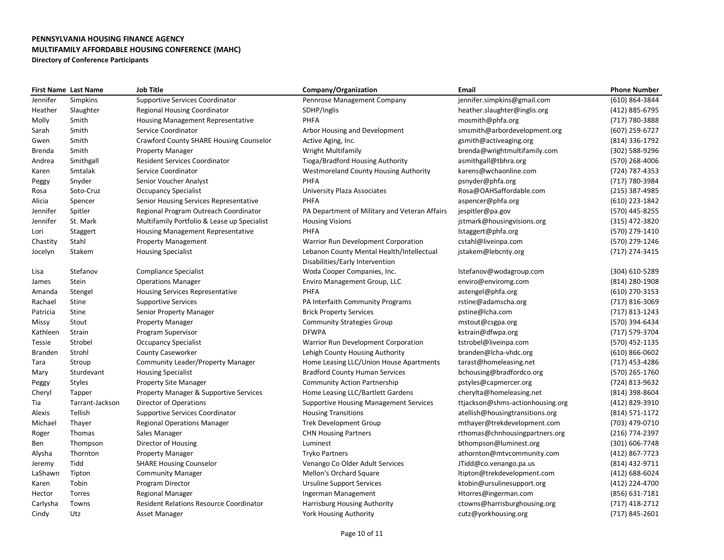|                | <b>First Name Last Name</b> | <b>Job Title</b>                               | Company/Organization                          | Email                            | <b>Phone Number</b> |
|----------------|-----------------------------|------------------------------------------------|-----------------------------------------------|----------------------------------|---------------------|
| Jennifer       | Simpkins                    | <b>Supportive Services Coordinator</b>         | Pennrose Management Company                   | jennifer.simpkins@gmail.com      | (610) 864-3844      |
| Heather        | Slaughter                   | <b>Regional Housing Coordinator</b>            | SDHP/Inglis                                   | heather.slaughter@inglis.org     | (412) 885-6795      |
| Molly          | Smith                       | Housing Management Representative              | PHFA                                          | mosmith@phfa.org                 | (717) 780-3888      |
| Sarah          | Smith                       | Service Coordinator                            | Arbor Housing and Development                 | smsmith@arbordevelopment.org     | (607) 259-6727      |
| Gwen           | Smith                       | <b>Crawford County SHARE Housing Counselor</b> | Active Aging, Inc.                            | gsmith@activeaging.org           | (814) 336-1792      |
| Brenda         | Smith                       | <b>Property Manager</b>                        | <b>Wright Multifamily</b>                     | brenda@wrightmultifamily.com     | (302) 588-9296      |
| Andrea         | Smithgall                   | <b>Resident Services Coordinator</b>           | Tioga/Bradford Housing Authority              | asmithgall@tbhra.org             | (570) 268-4006      |
| Karen          | Smtalak                     | Service Coordinator                            | <b>Westmoreland County Housing Authority</b>  | karens@wchaonline.com            | (724) 787-4353      |
| Peggy          | Snyder                      | Senior Voucher Analyst                         | PHFA                                          | psnyder@phfa.org                 | (717) 780-3984      |
| Rosa           | Soto-Cruz                   | <b>Occupancy Specialist</b>                    | University Plaza Associates                   | Rosa@OAHSaffordable.com          | (215) 387-4985      |
| Alicia         | Spencer                     | Senior Housing Services Representative         | PHFA                                          | aspencer@phfa.org                | (610) 223-1842      |
| Jennifer       | Spitler                     | Regional Program Outreach Coordinator          | PA Department of Military and Veteran Affairs | jespitler@pa.gov                 | (570) 445-8255      |
| Jennifer       | St. Mark                    | Multifamily Portfolio & Lease up Specialist    | <b>Housing Visions</b>                        | jstmark@housingvisions.org       | (315) 472-3820      |
| Lori           | Staggert                    | <b>Housing Management Representative</b>       | PHFA                                          | lstaggert@phfa.org               | (570) 279-1410      |
| Chastity       | Stahl                       | <b>Property Management</b>                     | Warrior Run Development Corporation           | cstahl@liveinpa.com              | (570) 279-1246      |
| Jocelyn        | Stakem                      | <b>Housing Specialist</b>                      | Lebanon County Mental Health/Intellectual     | jstakem@lebcnty.org              | (717) 274-3415      |
|                |                             |                                                | Disabilities/Early Intervention               |                                  |                     |
| Lisa           | Stefanov                    | <b>Compliance Specialist</b>                   | Woda Cooper Companies, Inc.                   | lstefanov@wodagroup.com          | (304) 610-5289      |
| James          | Stein                       | <b>Operations Manager</b>                      | Enviro Management Group, LLC                  | enviro@enviromg.com              | (814) 280-1908      |
| Amanda         | Stengel                     | Housing Services Representative                | PHFA                                          | astengel@phfa.org                | (610) 270-3153      |
| Rachael        | Stine                       | <b>Supportive Services</b>                     | PA Interfaith Community Programs              | rstine@adamscha.org              | (717) 816-3069      |
| Patricia       | Stine                       | Senior Property Manager                        | <b>Brick Property Services</b>                | pstine@lcha.com                  | (717) 813-1243      |
| Missy          | Stout                       | <b>Property Manager</b>                        | <b>Community Strategies Group</b>             | mstout@csgpa.org                 | (570) 394-6434      |
| Kathleen       | Strain                      | Program Supervisor                             | <b>DFWPA</b>                                  | kstrain@dfwpa.org                | (717) 579-3704      |
| Tessie         | Strobel                     | <b>Occupancy Specialist</b>                    | Warrior Run Development Corporation           | tstrobel@liveinpa.com            | (570) 452-1135      |
| <b>Branden</b> | Strohl                      | <b>County Caseworker</b>                       | Lehigh County Housing Authority               | branden@lcha-vhdc.org            | $(610) 866 - 0602$  |
| Tara           | Stroup                      | <b>Community Leader/Property Manager</b>       | Home Leasing LLC/Union House Apartments       | tarast@homeleasing.net           | (717) 453-4286      |
| Mary           | Sturdevant                  | <b>Housing Specialist</b>                      | <b>Bradford County Human Services</b>         | bchousing@bradfordco.org         | (570) 265-1760      |
| Peggy          | <b>Styles</b>               | <b>Property Site Manager</b>                   | <b>Community Action Partnership</b>           | pstyles@capmercer.org            | (724) 813-9632      |
| Cheryl         | Tapper                      | Property Manager & Supportive Services         | Home Leasing LLC/Bartlett Gardens             | cherylta@homeleasing.net         | (814) 398-8604      |
| Tia            | Tarrant-Jackson             | Director of Operations                         | <b>Supportive Housing Management Services</b> | ttjackson@shms-actionhousing.org | (412) 829-3910      |
| Alexis         | Tellish                     | <b>Supportive Services Coordinator</b>         | <b>Housing Transitions</b>                    | atellish@housingtransitions.org  | (814) 571-1172      |
| Michael        | Thayer                      | <b>Regional Operations Manager</b>             | <b>Trek Development Group</b>                 | mthayer@trekdevelopment.com      | (703) 479-0710      |
| Roger          | Thomas                      | Sales Manager                                  | <b>CHN Housing Partners</b>                   | rthomas@chnhousingpartners.org   | (216) 774-2397      |
| Ben            | Thompson                    | Director of Housing                            | Luminest                                      | bthompson@luminest.org           | (301) 606-7748      |
| Alysha         | Thornton                    | <b>Property Manager</b>                        | <b>Tryko Partners</b>                         | athornton@mtvcommunity.com       | (412) 867-7723      |
| Jeremy         | Tidd                        | <b>SHARE Housing Counselor</b>                 | Venango Co Older Adult Services               | JTidd@co.venango.pa.us           | (814) 432-9711      |
| LaShawn        | Tipton                      | <b>Community Manager</b>                       | Mellon's Orchard Square                       | ltipton@trekdevelopment.com      | (412) 688-6024      |
| Karen          | Tobin                       | Program Director                               | <b>Ursuline Support Services</b>              | ktobin@ursulinesupport.org       | (412) 224-4700      |
| Hector         | Torres                      | <b>Regional Manager</b>                        | Ingerman Management                           | Htorres@ingerman.com             | (856) 631-7181      |
| Carlysha       | Towns                       | <b>Resident Relations Resource Coordinator</b> | Harrisburg Housing Authority                  | ctowns@harrisburghousing.org     | $(717)$ 418-2712    |
| Cindy          | Utz                         | Asset Manager                                  | <b>York Housing Authority</b>                 | cutz@yorkhousing.org             | (717) 845-2601      |